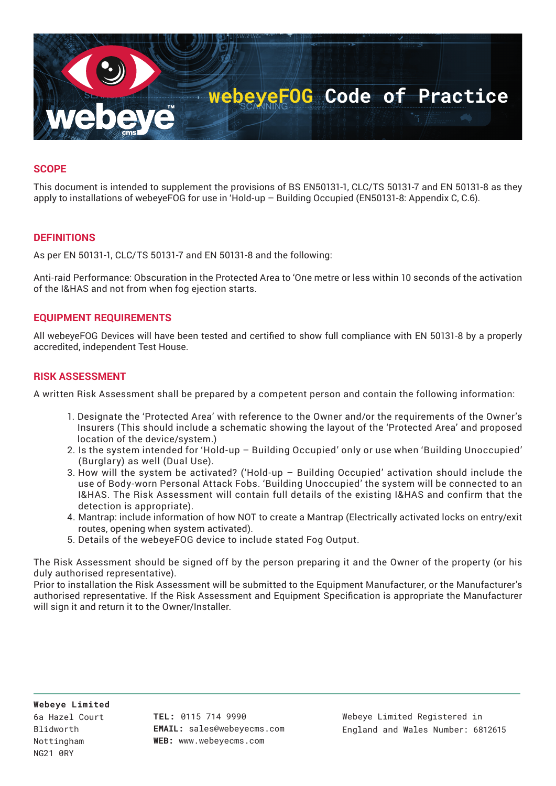

## **SCOPE**

This document is intended to supplement the provisions of BS EN50131-1, CLC/TS 50131-7 and EN 50131-8 as they apply to installations of webeyeFOG for use in 'Hold-up – Building Occupied (EN50131-8: Appendix C, C.6).

### **DEFINITIONS**

As per EN 50131-1, CLC/TS 50131-7 and EN 50131-8 and the following:

Anti-raid Performance: Obscuration in the Protected Area to 'One metre or less within 10 seconds of the activation of the I&HAS and not from when fog ejection starts.

#### **EQUIPMENT REQUIREMENTS**

All webeyeFOG Devices will have been tested and certified to show full compliance with EN 50131-8 by a properly accredited, independent Test House.

#### **RISK ASSESSMENT**

A written Risk Assessment shall be prepared by a competent person and contain the following information:

- 1. Designate the 'Protected Area' with reference to the Owner and/or the requirements of the Owner's Insurers (This should include a schematic showing the layout of the 'Protected Area' and proposed location of the device/system.)
- 2. Is the system intended for 'Hold-up Building Occupied' only or use when 'Building Unoccupied' (Burglary) as well (Dual Use).
- 3. How will the system be activated? ('Hold-up Building Occupied' activation should include the use of Body-worn Personal Attack Fobs. 'Building Unoccupied' the system will be connected to an I&HAS. The Risk Assessment will contain full details of the existing I&HAS and confirm that the detection is appropriate).
- 4. Mantrap: include information of how NOT to create a Mantrap (Electrically activated locks on entry/exit routes, opening when system activated).
- 5. Details of the webeyeFOG device to include stated Fog Output.

The Risk Assessment should be signed off by the person preparing it and the Owner of the property (or his duly authorised representative).

Prior to installation the Risk Assessment will be submitted to the Equipment Manufacturer, or the Manufacturer's authorised representative. If the Risk Assessment and Equipment Specification is appropriate the Manufacturer will sign it and return it to the Owner/Installer.

**TEL:** 0115 714 9990 **EMAIL:** sales@webeyecms.com **WEB:** www.webeyecms.com

Webeye Limited Registered in England and Wales Number: 6812615